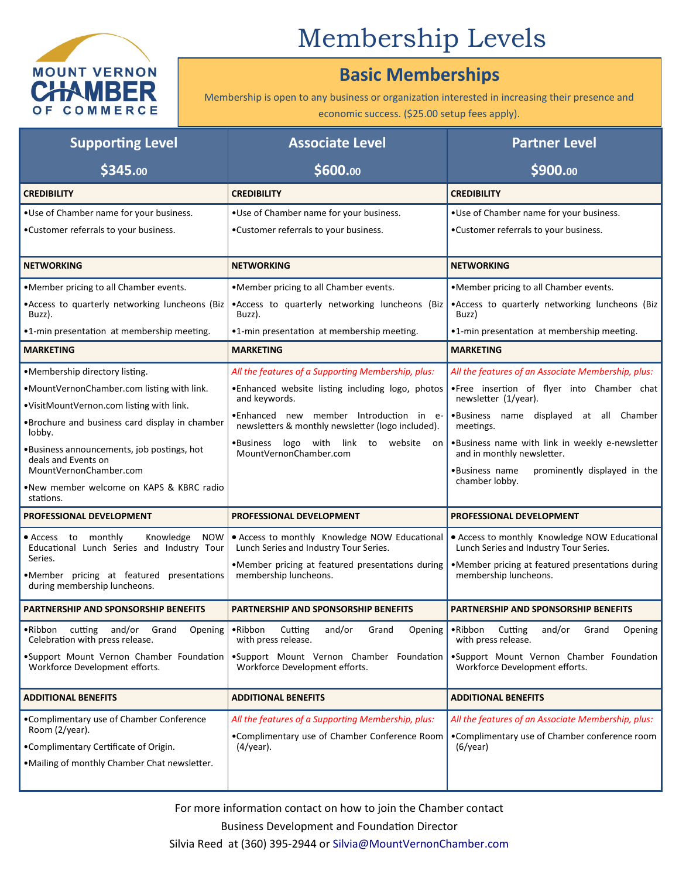

## Membership Levels

## **Basic Memberships**

Membership is open to any business or organization interested in increasing their presence and economic success. (\$25.00 setup fees apply).

| <b>Supporting Level</b>                                                                                            | <b>Associate Level</b>                                                                  | <b>Partner Level</b>                                                                    |
|--------------------------------------------------------------------------------------------------------------------|-----------------------------------------------------------------------------------------|-----------------------------------------------------------------------------------------|
| \$345.00                                                                                                           | \$600.00                                                                                | \$900.00                                                                                |
| <b>CREDIBILITY</b>                                                                                                 | <b>CREDIBILITY</b>                                                                      | <b>CREDIBILITY</b>                                                                      |
| .Use of Chamber name for your business.                                                                            | .Use of Chamber name for your business.                                                 | .Use of Chamber name for your business.                                                 |
| •Customer referrals to your business.                                                                              | •Customer referrals to your business.                                                   | •Customer referrals to your business.                                                   |
| <b>NETWORKING</b>                                                                                                  | <b>NETWORKING</b>                                                                       | <b>NETWORKING</b>                                                                       |
| .Member pricing to all Chamber events.                                                                             | •Member pricing to all Chamber events.                                                  | •Member pricing to all Chamber events.                                                  |
| • Access to quarterly networking luncheons (Biz<br>Buzz).                                                          | .Access to quarterly networking luncheons (Biz<br>Buzz).                                | .Access to quarterly networking luncheons (Biz<br>Buzz)                                 |
| •1-min presentation at membership meeting.                                                                         | •1-min presentation at membership meeting.                                              | •1-min presentation at membership meeting.                                              |
| <b>MARKETING</b>                                                                                                   | <b>MARKETING</b>                                                                        | <b>MARKETING</b>                                                                        |
| •Membership directory listing.                                                                                     | All the features of a Supporting Membership, plus:                                      | All the features of an Associate Membership, plus:                                      |
| .MountVernonChamber.com listing with link.                                                                         | . Enhanced website listing including logo, photos<br>and keywords.                      | .Free insertion of flyer into Chamber chat<br>newsletter (1/year).                      |
| .VisitMountVernon.com listing with link.                                                                           | •Enhanced new member Introduction in e-                                                 | .Business name displayed at all Chamber                                                 |
| •Brochure and business card display in chamber<br>lobby.                                                           | newsletters & monthly newsletter (logo included).                                       | meetings.                                                                               |
| . Business announcements, job postings, hot<br>deals and Events on                                                 | $\bullet$ Business<br>logo with link to website on<br>MountVernonChamber.com            | .Business name with link in weekly e-newsletter<br>and in monthly newsletter.           |
| MountVernonChamber.com                                                                                             |                                                                                         | prominently displayed in the<br>•Business name<br>chamber lobby.                        |
| •New member welcome on KAPS & KBRC radio<br>stations.                                                              |                                                                                         |                                                                                         |
| PROFESSIONAL DEVELOPMENT                                                                                           | PROFESSIONAL DEVELOPMENT                                                                | PROFESSIONAL DEVELOPMENT                                                                |
| Knowledge<br><b>NOW</b><br>$\bullet$ Access to<br>monthly<br>Educational Lunch Series and Industry Tour<br>Series. | • Access to monthly Knowledge NOW Educational<br>Lunch Series and Industry Tour Series. | • Access to monthly Knowledge NOW Educational<br>Lunch Series and Industry Tour Series. |
| .Member pricing at featured presentations                                                                          | •Member pricing at featured presentations during<br>membership luncheons.               | •Member pricing at featured presentations during<br>membership luncheons.               |
| during membership luncheons.                                                                                       |                                                                                         |                                                                                         |
| <b>PARTNERSHIP AND SPONSORSHIP BENEFITS</b>                                                                        | <b>PARTNERSHIP AND SPONSORSHIP BENEFITS</b>                                             | <b>PARTNERSHIP AND SPONSORSHIP BENEFITS</b>                                             |
| .Ribbon cutting and/or Grand<br>Opening<br>Celebration with press release.                                         | •Ribbon Cutting<br>and/or<br>Grand<br>Opening<br>with press release.                    | •Ribbon Cutting<br>and/or Grand<br>Opening<br>with press release.                       |
| .Support Mount Vernon Chamber Foundation<br>Workforce Development efforts.                                         | .Support Mount Vernon Chamber Foundation<br>Workforce Development efforts.              | .Support Mount Vernon Chamber Foundation<br>Workforce Development efforts.              |
| <b>ADDITIONAL BENEFITS</b>                                                                                         | <b>ADDITIONAL BENEFITS</b>                                                              | <b>ADDITIONAL BENEFITS</b>                                                              |
| •Complimentary use of Chamber Conference<br>Room (2/year).                                                         | All the features of a Supporting Membership, plus:                                      | All the features of an Associate Membership, plus:                                      |
| •Complimentary Certificate of Origin.                                                                              | •Complimentary use of Chamber Conference Room<br>$(4$ /year).                           | •Complimentary use of Chamber conference room<br>$(6$ /year)                            |
| . Mailing of monthly Chamber Chat newsletter.                                                                      |                                                                                         |                                                                                         |
|                                                                                                                    |                                                                                         |                                                                                         |

For more information contact on how to join the Chamber contact Business Development and Foundation Director